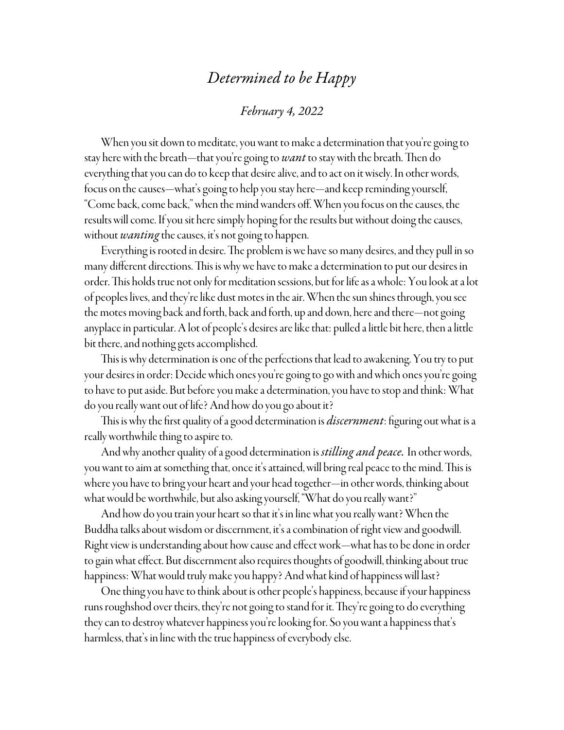## *Determined to be Happy*

## *February 4, 2022*

When you sit down to meditate, you want to make a determination that you're going to stay here with the breath—that you're going to *want* to stay with the breath. Then do everything that you can do to keep that desire alive, and to act on it wisely. In other words, focus on the causes—what's going to help you stay here—and keep reminding yourself, "Come back, come back," when the mind wanders off. When you focus on the causes, the results will come. If you sit here simply hoping for the results but without doing the causes, without *wanting* the causes, it's not going to happen.

Everything is rooted in desire. The problem is we have so many desires, and they pull in so many different directions. This is why we have to make a determination to put our desires in order. This holds true not only for meditation sessions, but for life as a whole: You look at a lot of peoples lives, and they're like dust motes in the air. When the sun shines through, you see the motes moving back and forth, back and forth, up and down, here and there—not going anyplace in particular. A lot of people's desires are like that: pulled a little bit here, then a little bit there, and nothing gets accomplished.

This is why determination is one of the perfections that lead to awakening. You try to put your desires in order: Decide which ones you're going to go with and which ones you're going to have to put aside. But before you make a determination, you have to stop and think: What do you really want out of life? And how do you go about it?

This is why the first quality of a good determination is *discernment*: figuring out what is a really worthwhile thing to aspire to.

And why another quality of a good determination is *stilling and peace.* In other words, you want to aim at something that, once it's attained, will bring real peace to the mind. This is where you have to bring your heart and your head together—in other words, thinking about what would be worthwhile, but also asking yourself, "What do you really want?"

And how do you train your heart so that it's in line what you really want? When the Buddha talks about wisdom or discernment, it's a combination of right view and goodwill. Right view is understanding about how cause and effect work—what has to be done in order to gain what effect. But discernment also requires thoughts of goodwill, thinking about true happiness: What would truly make you happy? And what kind of happiness will last?

One thing you have to think about is other people's happiness, because if your happiness runs roughshod over theirs, they're not going to stand for it. They're going to do everything they can to destroy whatever happiness you're looking for. So you want a happiness that's harmless, that's in line with the true happiness of everybody else.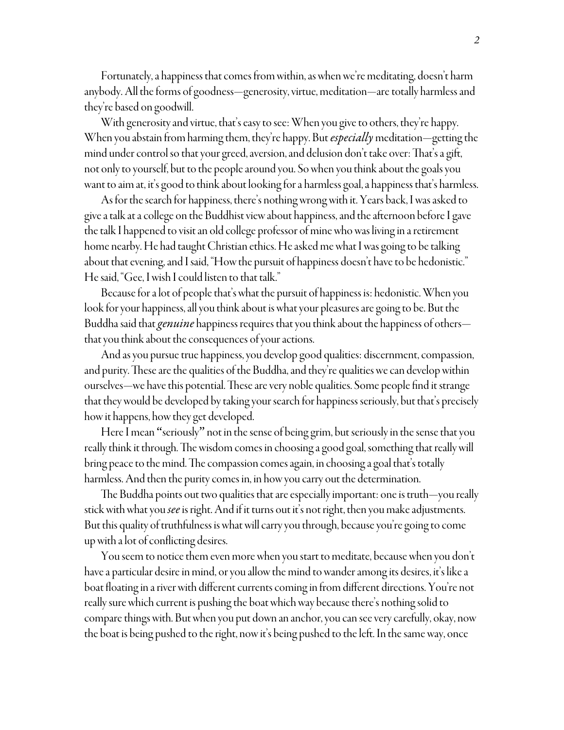Fortunately, a happiness that comes from within, as when we're meditating, doesn't harm anybody. All the forms of goodness—generosity, virtue, meditation—are totally harmless and they're based on goodwill.

With generosity and virtue, that's easy to see: When you give to others, they're happy. When you abstain from harming them, they're happy. But *especially* meditation—getting the mind under control so that your greed, aversion, and delusion don't take over: That's a gift, not only to yourself, but to the people around you. So when you think about the goals you want to aim at, it's good to think about looking for a harmless goal, a happiness that's harmless.

As for the search for happiness, there's nothing wrong with it. Years back, I was asked to give a talk at a college on the Buddhist view about happiness, and the afternoon before I gave the talk I happened to visit an old college professor of mine who was living in a retirement home nearby. He had taught Christian ethics. He asked me what I was going to be talking about that evening, and I said, "How the pursuit of happiness doesn't have to be hedonistic." He said, "Gee, I wish I could listen to that talk."

Because for a lot of people that's what the pursuit of happiness is: hedonistic. When you look for your happiness, all you think about is what your pleasures are going to be. But the Buddha said that *genuine* happiness requires that you think about the happiness of others that you think about the consequences of your actions.

And as you pursue true happiness, you develop good qualities: discernment, compassion, and purity. These are the qualities of the Buddha, and they're qualities we can develop within ourselves—we have this potential. These are very noble qualities. Some people find it strange that they would be developed by taking your search for happiness seriously, but that's precisely how it happens, how they get developed.

Here I mean "seriously" not in the sense of being grim, but seriously in the sense that you really think it through. The wisdom comes in choosing a good goal, something that really will bring peace to the mind. The compassion comes again, in choosing a goal that's totally harmless. And then the purity comes in, in how you carry out the determination.

The Buddha points out two qualities that are especially important: one is truth—you really stick with what you *see* is right. And if it turns out it's not right, then you make adjustments. But this quality of truthfulness is what will carry you through, because you're going to come up with a lot of conflicting desires.

You seem to notice them even more when you start to meditate, because when you don't have a particular desire in mind, or you allow the mind to wander among its desires, it's like a boat floating in a river with different currents coming in from different directions. You're not really sure which current is pushing the boat which way because there's nothing solid to compare things with. But when you put down an anchor, you can see very carefully, okay, now the boat is being pushed to the right, now it's being pushed to the left. In the same way, once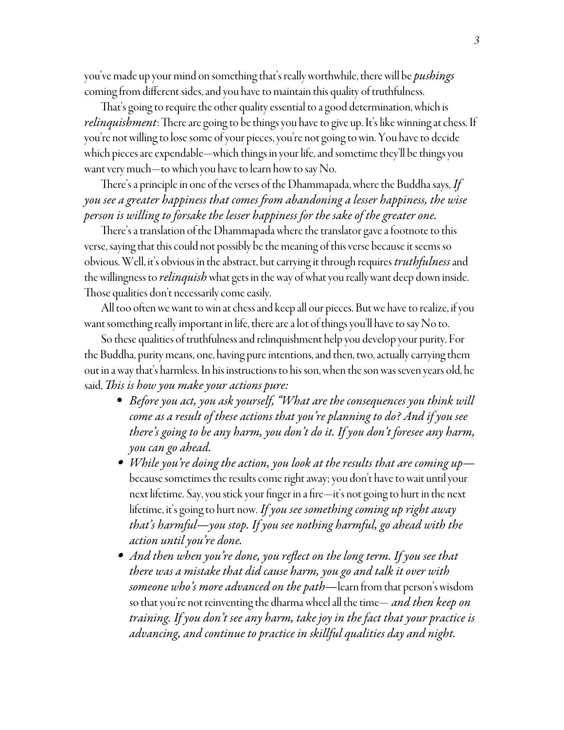you've made up your mind on something that's really worthwhile, there will be *pushings* coming from different sides, and you have to maintain this quality of truthfulness.

That's going to require the other quality essential to a good determination, which is *relinquishment*: There are going to be things you have to give up. It's like winning at chess. If you're not willing to lose some of your pieces, you're not going to win. You have to decide which pieces are expendable—which things in your life, and sometime they'll be things you want very much—to which you have to learn how to say No.

There's a principle in one of the verses of the Dhammapada, where the Buddha says, *If you see a greater happiness that comes from abandoning a lesser happiness, the wise person is willing to forsake the lesser happiness for the sake of the greater one.*

There's a translation of the Dhammapada where the translator gave a footnote to this verse, saying that this could not possibly be the meaning of this verse because it seems so obvious. Well, it's obvious in the abstract, but carrying it through requires *truthfulness* and the willingness to *relinquish* what gets in the way of what you really want deep down inside. Those qualities don't necessarily come easily.

All too often we want to win at chess and keep all our pieces. But we have to realize, if you want something really important in life, there are a lot of things you'll have to say No to.

So these qualities of truthfulness and relinquishment help you develop your purity. For the Buddha, purity means, one, having pure intentions, and then, two, actually carrying them out in a way that's harmless. In his instructions to his son, when the son was seven years old, he said, *This is how you make your actions pure:*

- *Before you act, you ask yourself, "What are the consequences you think will come as a result of these actions that you're planning to do? And if you see there's going to be any harm, you don't do it. If you don't foresee any harm, you can go ahead.*
- *While you're doing the action, you look at the results that are coming up*  because sometimes the results come right away; you don't have to wait until your next lifetime. Say, you stick your finger in a fire—it's not going to hurt in the next lifetime, it's going to hurt now. *If you see something coming up right away that's harmful—you stop. If you see nothing harmful, go ahead with the action until you're done.*
- *And then when you're done, you reflect on the long term. If you see that there was a mistake that did cause harm, you go and talk it over with someone who's more advanced on the path—*learn from that person's wisdom so that you're not reinventing the dharma wheel all the time— *and then keep on training. If you don't see any harm, take joy in the fact that your practice is advancing, and continue to practice in skillful qualities day and night.*